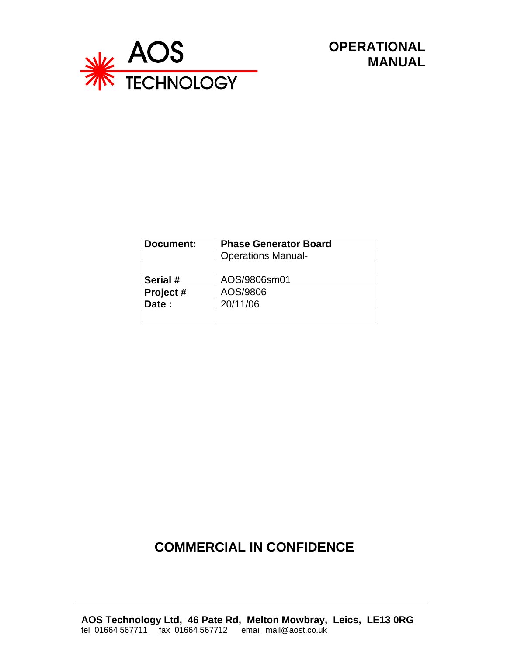

 **OPERATIONAL MANUAL**

| Document: | <b>Phase Generator Board</b> |  |
|-----------|------------------------------|--|
|           | <b>Operations Manual-</b>    |  |
|           |                              |  |
| Serial #  | AOS/9806sm01                 |  |
| Project#  | AOS/9806                     |  |
| Date:     | 20/11/06                     |  |
|           |                              |  |

# **COMMERCIAL IN CONFIDENCE**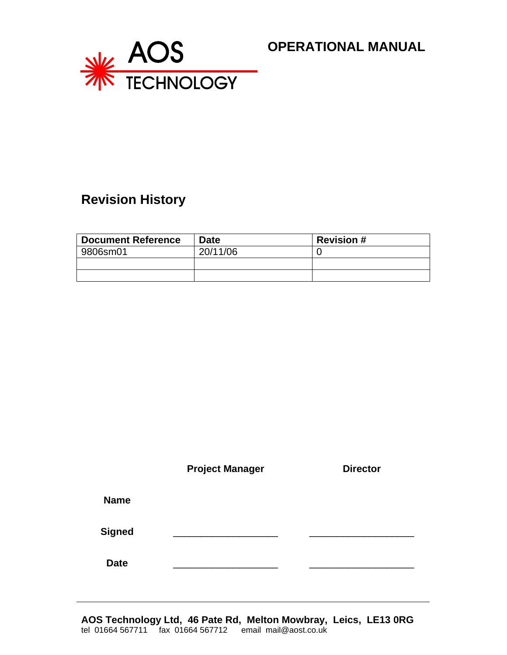

### **OPERATIONAL MANUAL**

# **Revision History**

| <b>Document Reference</b> | <b>Date</b> | <b>Revision #</b> |
|---------------------------|-------------|-------------------|
| 9806sm01                  | 20/11/06    |                   |
|                           |             |                   |
|                           |             |                   |

|               | <b>Project Manager</b> | <b>Director</b> |
|---------------|------------------------|-----------------|
| <b>Name</b>   |                        |                 |
| <b>Signed</b> |                        |                 |
| <b>Date</b>   |                        |                 |

**AOS Technology Ltd, 46 Pate Rd, Melton Mowbray, Leics, LE13 0RG** tel 01664 567711 fax 01664 567712 email mail@aost.co.uk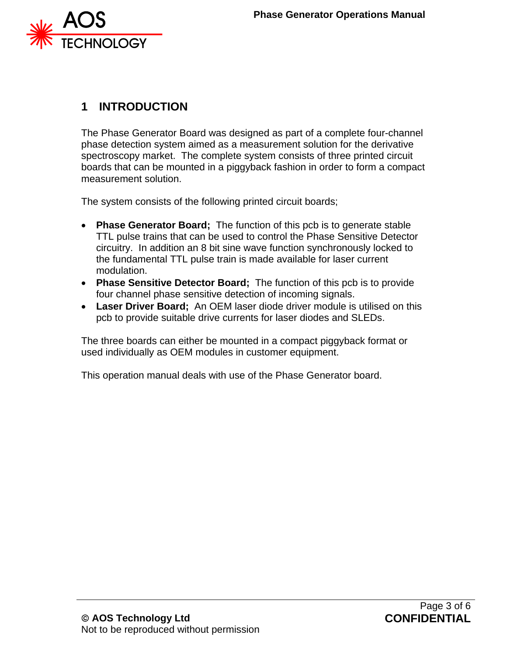

## **1 INTRODUCTION**

The Phase Generator Board was designed as part of a complete four-channel phase detection system aimed as a measurement solution for the derivative spectroscopy market. The complete system consists of three printed circuit boards that can be mounted in a piggyback fashion in order to form a compact measurement solution.

The system consists of the following printed circuit boards;

- **Phase Generator Board;** The function of this pcb is to generate stable TTL pulse trains that can be used to control the Phase Sensitive Detector circuitry. In addition an 8 bit sine wave function synchronously locked to the fundamental TTL pulse train is made available for laser current modulation.
- **Phase Sensitive Detector Board;** The function of this pcb is to provide four channel phase sensitive detection of incoming signals.
- **Laser Driver Board;** An OEM laser diode driver module is utilised on this pcb to provide suitable drive currents for laser diodes and SLEDs.

The three boards can either be mounted in a compact piggyback format or used individually as OEM modules in customer equipment.

This operation manual deals with use of the Phase Generator board.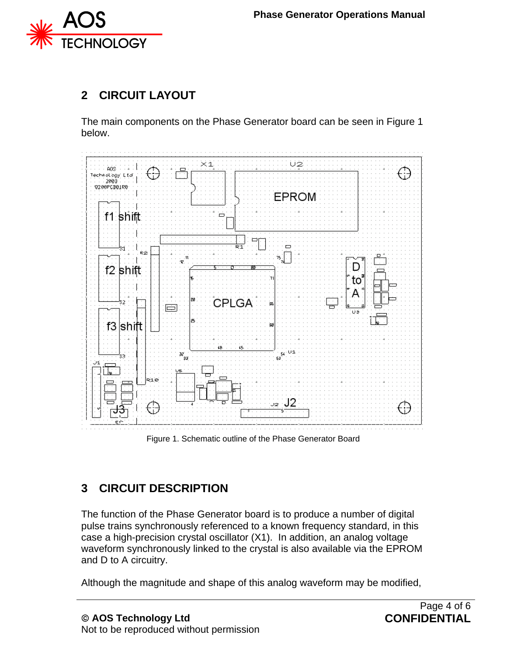

## **2 CIRCUIT LAYOUT**

The main components on the Phase Generator board can be seen in Figure 1 below.



Figure 1. Schematic outline of the Phase Generator Board

# **3 CIRCUIT DESCRIPTION**

The function of the Phase Generator board is to produce a number of digital pulse trains synchronously referenced to a known frequency standard, in this case a high-precision crystal oscillator (X1). In addition, an analog voltage waveform synchronously linked to the crystal is also available via the EPROM and D to A circuitry.

Although the magnitude and shape of this analog waveform may be modified,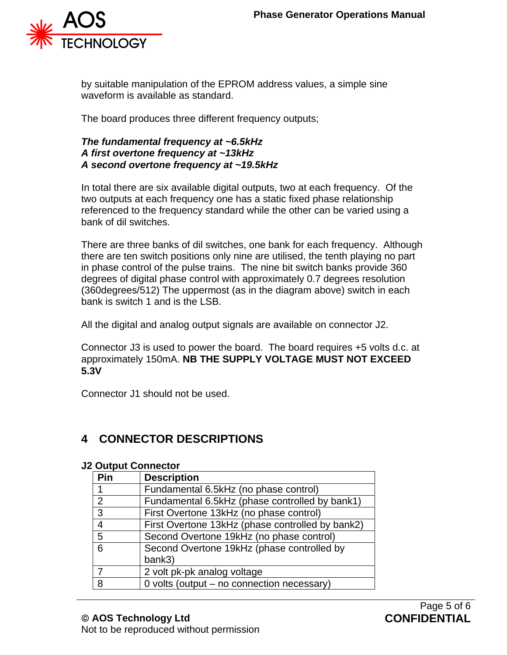

by suitable manipulation of the EPROM address values, a simple sine waveform is available as standard.

The board produces three different frequency outputs;

#### *The fundamental frequency at ~6.5kHz A first overtone frequency at ~13kHz A second overtone frequency at ~19.5kHz*

In total there are six available digital outputs, two at each frequency. Of the two outputs at each frequency one has a static fixed phase relationship referenced to the frequency standard while the other can be varied using a bank of dil switches.

There are three banks of dil switches, one bank for each frequency. Although there are ten switch positions only nine are utilised, the tenth playing no part in phase control of the pulse trains. The nine bit switch banks provide 360 degrees of digital phase control with approximately 0.7 degrees resolution (360degrees/512) The uppermost (as in the diagram above) switch in each bank is switch 1 and is the LSB.

All the digital and analog output signals are available on connector J2.

Connector J3 is used to power the board. The board requires +5 volts d.c. at approximately 150mA. **NB THE SUPPLY VOLTAGE MUST NOT EXCEED 5.3V**

Connector J1 should not be used.

### **4 CONNECTOR DESCRIPTIONS**

#### **J2 Output Connector**

| Pin            | <b>Description</b>                               |
|----------------|--------------------------------------------------|
|                | Fundamental 6.5kHz (no phase control)            |
| $\overline{2}$ | Fundamental 6.5kHz (phase controlled by bank1)   |
| 3              | First Overtone 13kHz (no phase control)          |
| 4              | First Overtone 13kHz (phase controlled by bank2) |
| 5              | Second Overtone 19kHz (no phase control)         |
| 6              | Second Overtone 19kHz (phase controlled by       |
|                | bank3)                                           |
| 7              | 2 volt pk-pk analog voltage                      |
| 8              | 0 volts (output - no connection necessary)       |